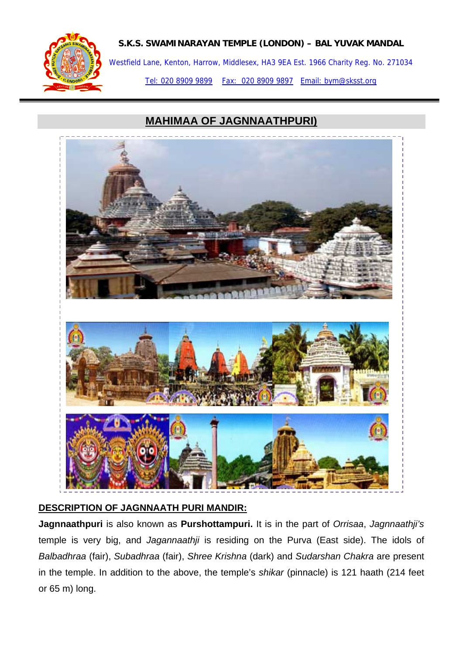

## **S.K.S. SWAMINARAYAN TEMPLE (LONDON) – BAL YUVAK MANDAL**

Westfield Lane, Kenton, Harrow, Middlesex, HA3 9EA Est. 1966 Charity Reg. No. 271034

Tel: 020 8909 9899 Fax: 020 8909 9897 Email: bym@sksst.org

# **MAHIMAA OF JAGNNAATHPURI)**



# **DESCRIPTION OF JAGNNAATH PURI MANDIR:**

**Jagnnaathpuri** is also known as **Purshottampuri.** It is in the part of *Orrisaa*, *Jagnnaathji's* temple is very big, and *Jagannaathji* is residing on the Purva (East side). The idols of *Balbadhraa* (fair), *Subadhraa* (fair), *Shree Krishna* (dark) and *Sudarshan Chakra* are present in the temple. In addition to the above, the temple's *shikar* (pinnacle) is 121 haath (214 feet or 65 m) long.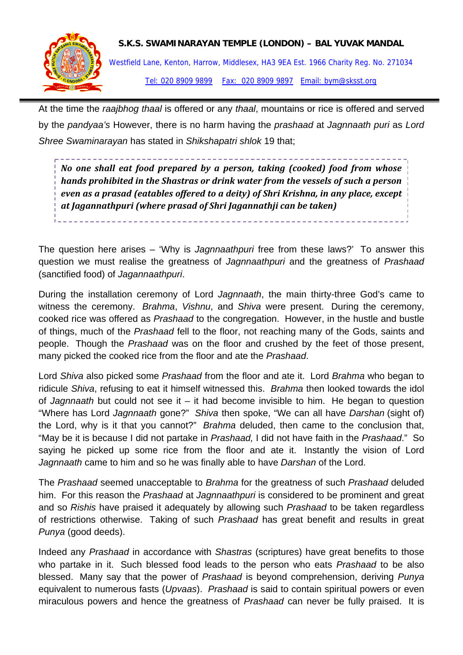

#### **S.K.S. SWAMINARAYAN TEMPLE (LONDON) – BAL YUVAK MANDAL**

Westfield Lane, Kenton, Harrow, Middlesex, HA3 9EA Est. 1966 Charity Reg. No. 271034 Tel: 020 8909 9899 Fax: 020 8909 9897 Email: bym@sksst.org

At the time the *raajbhog thaal* is offered or any *thaal*, mountains or rice is offered and served by the *pandyaa's* However, there is no harm having the *prashaad* at *Jagnnaath puri* as *Lord Shree Swaminarayan* has stated in *Shikshapatri shlok* 19 that;

*No one shall eat food prepared by a person, taking (cooked) food from whose hands prohibited in the Shastras or drink water from the vessels of such a person even as a prasad (eatables offered to a deity) of Shri Krishna, in any place, except at Jagannathpuri (where prasad of Shri Jagannathji can be taken)*

The question here arises – 'Why is *Jagnnaathpuri* free from these laws?' To answer this question we must realise the greatness of *Jagnnaathpuri* and the greatness of *Prashaad*  (sanctified food) of *Jagannaathpuri*.

During the installation ceremony of Lord *Jagnnaath*, the main thirty-three God's came to witness the ceremony. *Brahma*, *Vishnu*, and *Shiva* were present. During the ceremony, cooked rice was offered as *Prashaad* to the congregation. However, in the hustle and bustle of things, much of the *Prashaad* fell to the floor, not reaching many of the Gods, saints and people. Though the *Prashaad* was on the floor and crushed by the feet of those present, many picked the cooked rice from the floor and ate the *Prashaad*.

Lord *Shiva* also picked some *Prashaad* from the floor and ate it. Lord *Brahma* who began to ridicule *Shiva*, refusing to eat it himself witnessed this. *Brahma* then looked towards the idol of *Jagnnaath* but could not see it – it had become invisible to him. He began to question "Where has Lord *Jagnnaath* gone?" *Shiva* then spoke, "We can all have *Darshan* (sight of) the Lord, why is it that you cannot?" *Brahma* deluded, then came to the conclusion that, "May be it is because I did not partake in *Prashaad,* I did not have faith in the *Prashaad*." So saying he picked up some rice from the floor and ate it. Instantly the vision of Lord *Jagnnaath* came to him and so he was finally able to have *Darshan* of the Lord.

The *Prashaad* seemed unacceptable to *Brahma* for the greatness of such *Prashaad* deluded him. For this reason the *Prashaad* at *Jagnnaathpuri* is considered to be prominent and great and so *Rishis* have praised it adequately by allowing such *Prashaad* to be taken regardless of restrictions otherwise. Taking of such *Prashaad* has great benefit and results in great *Punya* (good deeds).

Indeed any *Prashaad* in accordance with *Shastras* (scriptures) have great benefits to those who partake in it. Such blessed food leads to the person who eats *Prashaad* to be also blessed. Many say that the power of *Prashaad* is beyond comprehension, deriving *Punya* equivalent to numerous fasts (*Upvaas*). *Prashaad* is said to contain spiritual powers or even miraculous powers and hence the greatness of *Prashaad* can never be fully praised. It is